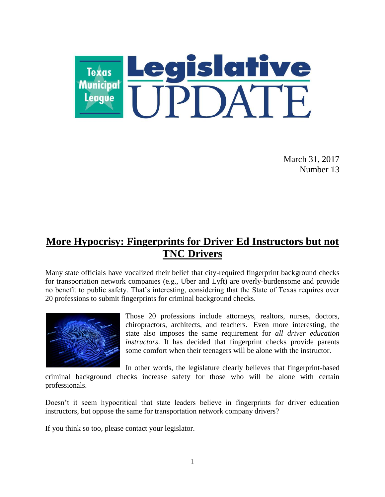

March 31, 2017 Number 13

## **More Hypocrisy: Fingerprints for Driver Ed Instructors but not TNC Drivers**

Many state officials have vocalized their belief that city-required fingerprint background checks for transportation network companies (e.g., Uber and Lyft) are overly-burdensome and provide no benefit to public safety. That's interesting, considering that the State of Texas requires over 20 professions to submit fingerprints for criminal background checks.



Those 20 professions include attorneys, realtors, nurses, doctors, chiropractors, architects, and teachers. Even more interesting, the state also imposes the same requirement for *all driver education instructors*. It has decided that fingerprint checks provide parents some comfort when their teenagers will be alone with the instructor.

In other words, the legislature clearly believes that fingerprint-based criminal background checks increase safety for those who will be alone with certain

professionals.

Doesn't it seem hypocritical that state leaders believe in fingerprints for driver education instructors, but oppose the same for transportation network company drivers?

If you think so too, please contact your legislator.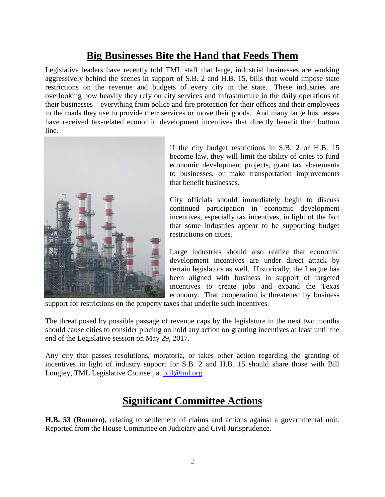### **Big Businesses Bite the Hand that Feeds Them**

Legislative leaders have recently told TML staff that large, industrial businesses are working aggressively behind the scenes in support of S.B. 2 and H.B. 15, bills that would impose state restrictions on the revenue and budgets of every city in the state. These industries are overlooking how heavily they rely on city services and infrastructure in the daily operations of their businesses – everything from police and fire protection for their offices and their employees to the roads they use to provide their services or move their goods. And many large businesses have received tax-related economic development incentives that directly benefit their bottom line.



If the city budget restrictions in S.B. 2 or H.B. 15 become law, they will limit the ability of cities to fund economic development projects, grant tax abatements to businesses, or make transportation improvements that benefit businesses.

City officials should immediately begin to discuss continued participation in economic development incentives, especially tax incentives, in light of the fact that some industries appear to be supporting budget restrictions on cities.

Large industries should also realize that economic development incentives are under direct attack by certain legislators as well. Historically, the League has been aligned with business in support of targeted incentives to create jobs and expand the Texas economy. That cooperation is threatened by business

support for restrictions on the property taxes that underlie such incentives.

The threat posed by possible passage of revenue caps by the legislature in the next two months should cause cities to consider placing on hold any action on granting incentives at least until the end of the Legislative session on May 29, 2017.

Any city that passes resolutions, moratoria, or takes other action regarding the granting of incentives in light of industry support for S.B. 2 and H.B. 15 should share those with Bill Longley, TML Legislative Counsel, at [bill@tml.org.](mailto:bill@tml.org)

#### **Significant Committee Actions**

**H.B. 53 (Romero)**, relating to settlement of claims and actions against a governmental unit. Reported from the House Committee on Judiciary and Civil Jurisprudence.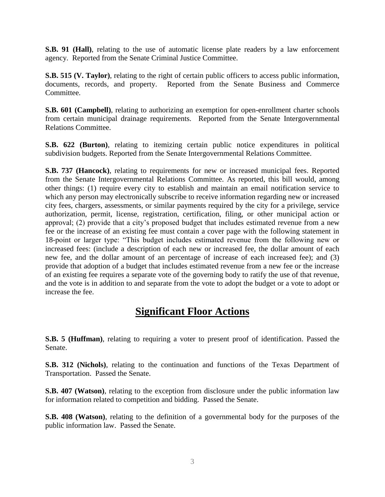**S.B. 91 (Hall)**, relating to the use of automatic license plate readers by a law enforcement agency. Reported from the Senate Criminal Justice Committee.

**S.B. 515 (V. Taylor)**, relating to the right of certain public officers to access public information, documents, records, and property. Reported from the Senate Business and Commerce Committee.

**S.B. 601 (Campbell)**, relating to authorizing an exemption for open-enrollment charter schools from certain municipal drainage requirements. Reported from the Senate Intergovernmental Relations Committee.

**S.B. 622 (Burton)**, relating to itemizing certain public notice expenditures in political subdivision budgets. Reported from the Senate Intergovernmental Relations Committee.

**S.B. 737 (Hancock)**, relating to requirements for new or increased municipal fees. Reported from the Senate Intergovernmental Relations Committee. As reported, this bill would, among other things: (1) require every city to establish and maintain an email notification service to which any person may electronically subscribe to receive information regarding new or increased city fees, chargers, assessments, or similar payments required by the city for a privilege, service authorization, permit, license, registration, certification, filing, or other municipal action or approval; (2) provide that a city's proposed budget that includes estimated revenue from a new fee or the increase of an existing fee must contain a cover page with the following statement in 18-point or larger type: "This budget includes estimated revenue from the following new or increased fees: (include a description of each new or increased fee, the dollar amount of each new fee, and the dollar amount of an percentage of increase of each increased fee); and (3) provide that adoption of a budget that includes estimated revenue from a new fee or the increase of an existing fee requires a separate vote of the governing body to ratify the use of that revenue, and the vote is in addition to and separate from the vote to adopt the budget or a vote to adopt or increase the fee.

#### **Significant Floor Actions**

**S.B. 5 (Huffman)**, relating to requiring a voter to present proof of identification. Passed the Senate.

**S.B. 312 (Nichols)**, relating to the continuation and functions of the Texas Department of Transportation. Passed the Senate.

**S.B. 407 (Watson)**, relating to the exception from disclosure under the public information law for information related to competition and bidding. Passed the Senate.

**S.B. 408 (Watson)**, relating to the definition of a governmental body for the purposes of the public information law. Passed the Senate.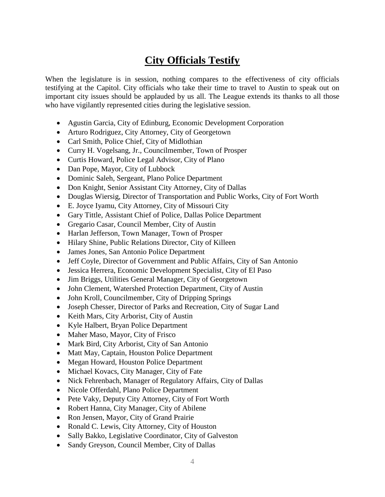# **City Officials Testify**

When the legislature is in session, nothing compares to the effectiveness of city officials testifying at the Capitol. City officials who take their time to travel to Austin to speak out on important city issues should be applauded by us all. The League extends its thanks to all those who have vigilantly represented cities during the legislative session.

- Agustin Garcia, City of Edinburg, Economic Development Corporation
- Arturo Rodriguez, City Attorney, City of Georgetown
- Carl Smith, Police Chief, City of Midlothian
- Curry H. Vogelsang, Jr., Councilmember, Town of Prosper
- Curtis Howard, Police Legal Advisor, City of Plano
- Dan Pope, Mayor, City of Lubbock
- Dominic Saleh, Sergeant, Plano Police Department
- Don Knight, Senior Assistant City Attorney, City of Dallas
- Douglas Wiersig, Director of Transportation and Public Works, City of Fort Worth
- E. Joyce Iyamu, City Attorney, City of Missouri City
- Gary Tittle, Assistant Chief of Police, Dallas Police Department
- Gregario Casar, Council Member, City of Austin
- Harlan Jefferson, Town Manager, Town of Prosper
- Hilary Shine, Public Relations Director, City of Killeen
- James Jones, San Antonio Police Department
- Jeff Coyle, Director of Government and Public Affairs, City of San Antonio
- Jessica Herrera, Economic Development Specialist, City of El Paso
- Jim Briggs, Utilities General Manager, City of Georgetown
- John Clement, Watershed Protection Department, City of Austin
- John Kroll, Councilmember, City of Dripping Springs
- Joseph Chesser, Director of Parks and Recreation, City of Sugar Land
- Keith Mars, City Arborist, City of Austin
- Kyle Halbert, Bryan Police Department
- Maher Maso, Mayor, City of Frisco
- Mark Bird, City Arborist, City of San Antonio
- Matt May, Captain, Houston Police Department
- Megan Howard, Houston Police Department
- Michael Kovacs, City Manager, City of Fate
- Nick Fehrenbach, Manager of Regulatory Affairs, City of Dallas
- Nicole Offerdahl, Plano Police Department
- Pete Vaky, Deputy City Attorney, City of Fort Worth
- Robert Hanna, City Manager, City of Abilene
- Ron Jensen, Mayor, City of Grand Prairie
- Ronald C. Lewis, City Attorney, City of Houston
- Sally Bakko, Legislative Coordinator, City of Galveston
- Sandy Greyson, Council Member, City of Dallas